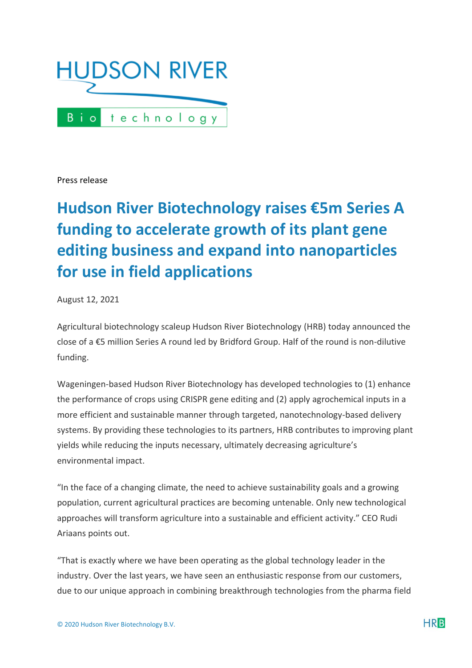

Press release

## **Hudson River Biotechnology raises €5m Series A funding to accelerate growth of its plant gene editing business and expand into nanoparticles for use in field applications**

August 12, 2021

Agricultural biotechnology scaleup Hudson River Biotechnology (HRB) today announced the close of a €5 million Series A round led by Bridford Group. Half of the round is non-dilutive funding.

Wageningen-based Hudson River Biotechnology has developed technologies to (1) enhance the performance of crops using CRISPR gene editing and (2) apply agrochemical inputs in a more efficient and sustainable manner through targeted, nanotechnology-based delivery systems. By providing these technologies to its partners, HRB contributes to improving plant yields while reducing the inputs necessary, ultimately decreasing agriculture's environmental impact.

"In the face of a changing climate, the need to achieve sustainability goals and a growing population, current agricultural practices are becoming untenable. Only new technological approaches will transform agriculture into a sustainable and efficient activity." CEO Rudi Ariaans points out.

"That is exactly where we have been operating as the global technology leader in the industry. Over the last years, we have seen an enthusiastic response from our customers, due to our unique approach in combining breakthrough technologies from the pharma field